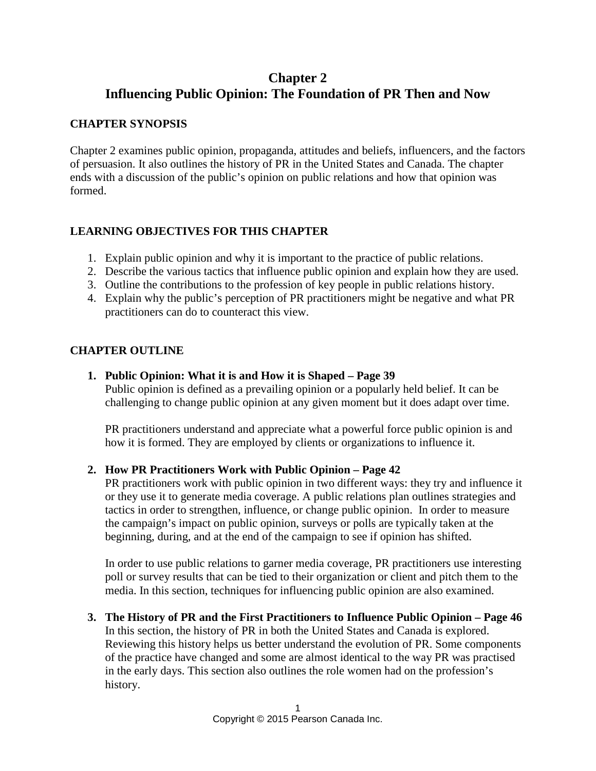# **Chapter 2 Influencing Public Opinion: The Foundation of PR Then and Now**

### **CHAPTER SYNOPSIS**

Chapter 2 examines public opinion, propaganda, attitudes and beliefs, influencers, and the factors of persuasion. It also outlines the history of PR in the United States and Canada. The chapter ends with a discussion of the public's opinion on public relations and how that opinion was formed.

# **LEARNING OBJECTIVES FOR THIS CHAPTER**

- 1. Explain public opinion and why it is important to the practice of public relations.
- 2. Describe the various tactics that influence public opinion and explain how they are used.
- 3. Outline the contributions to the profession of key people in public relations history.
- 4. Explain why the public's perception of PR practitioners might be negative and what PR practitioners can do to counteract this view.

#### **CHAPTER OUTLINE**

#### **1. Public Opinion: What it is and How it is Shaped – Page 39**

Public opinion is defined as a prevailing opinion or a popularly held belief. It can be challenging to change public opinion at any given moment but it does adapt over time.

PR practitioners understand and appreciate what a powerful force public opinion is and how it is formed. They are employed by clients or organizations to influence it.

#### **2. How PR Practitioners Work with Public Opinion – Page 42**

PR practitioners work with public opinion in two different ways: they try and influence it or they use it to generate media coverage. A public relations plan outlines strategies and tactics in order to strengthen, influence, or change public opinion. In order to measure the campaign's impact on public opinion, surveys or polls are typically taken at the beginning, during, and at the end of the campaign to see if opinion has shifted.

In order to use public relations to garner media coverage, PR practitioners use interesting poll or survey results that can be tied to their organization or client and pitch them to the media. In this section, techniques for influencing public opinion are also examined.

**3. The History of PR and the First Practitioners to Influence Public Opinion – Page 46** In this section, the history of PR in both the United States and Canada is explored. Reviewing this history helps us better understand the evolution of PR. Some components of the practice have changed and some are almost identical to the way PR was practised in the early days. This section also outlines the role women had on the profession's history.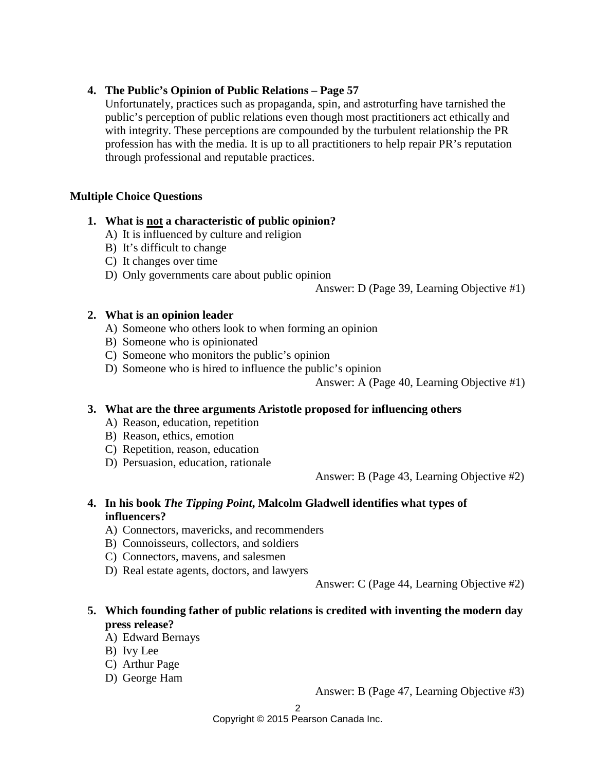#### **4. The Public's Opinion of Public Relations – Page 57**

Unfortunately, practices such as propaganda, spin, and astroturfing have tarnished the public's perception of public relations even though most practitioners act ethically and with integrity. These perceptions are compounded by the turbulent relationship the PR profession has with the media. It is up to all practitioners to help repair PR's reputation through professional and reputable practices.

#### **Multiple Choice Questions**

#### **1. What is not a characteristic of public opinion?**

- A) It is influenced by culture and religion
- B) It's difficult to change
- C) It changes over time
- D) Only governments care about public opinion

Answer: D (Page 39, Learning Objective #1)

#### **2. What is an opinion leader**

- A) Someone who others look to when forming an opinion
- B) Someone who is opinionated
- C) Someone who monitors the public's opinion
- D) Someone who is hired to influence the public's opinion

Answer: A (Page 40, Learning Objective #1)

#### **3. What are the three arguments Aristotle proposed for influencing others**

- A) Reason, education, repetition
- B) Reason, ethics, emotion
- C) Repetition, reason, education
- D) Persuasion, education, rationale

Answer: B (Page 43, Learning Objective #2)

#### **4. In his book** *The Tipping Point***, Malcolm Gladwell identifies what types of influencers?**

- A) Connectors, mavericks, and recommenders
- B) Connoisseurs, collectors, and soldiers
- C) Connectors, mavens, and salesmen
- D) Real estate agents, doctors, and lawyers

Answer: C (Page 44, Learning Objective #2)

# **5. Which founding father of public relations is credited with inventing the modern day press release?**

- A) Edward Bernays
- B) Ivy Lee
- C) Arthur Page
- D) George Ham

Answer: B (Page 47, Learning Objective #3)

Copyright © 2015 Pearson Canada Inc.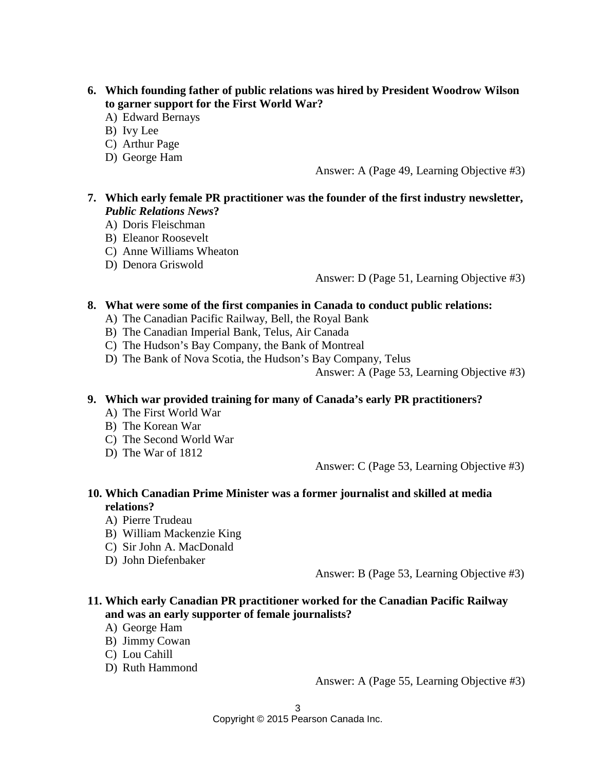- **6. Which founding father of public relations was hired by President Woodrow Wilson to garner support for the First World War?**
	- A) Edward Bernays
	- B) Ivy Lee
	- C) Arthur Page
	- D) George Ham

Answer: A (Page 49, Learning Objective #3)

### **7. Which early female PR practitioner was the founder of the first industry newsletter,**  *Public Relations News***?**

- A) Doris Fleischman
- B) Eleanor Roosevelt
- C) Anne Williams Wheaton
- D) Denora Griswold

Answer: D (Page 51, Learning Objective #3)

#### **8. What were some of the first companies in Canada to conduct public relations:**

- A) The Canadian Pacific Railway, Bell, the Royal Bank
- B) The Canadian Imperial Bank, Telus, Air Canada
- C) The Hudson's Bay Company, the Bank of Montreal
- D) The Bank of Nova Scotia, the Hudson's Bay Company, Telus

Answer: A (Page 53, Learning Objective #3)

#### **9. Which war provided training for many of Canada's early PR practitioners?**

- A) The First World War
- B) The Korean War
- C) The Second World War
- D) The War of 1812

Answer: C (Page 53, Learning Objective #3)

#### **10. Which Canadian Prime Minister was a former journalist and skilled at media relations?**

- A) Pierre Trudeau
- B) William Mackenzie King
- C) Sir John A. MacDonald
- D) John Diefenbaker

Answer: B (Page 53, Learning Objective #3)

### **11. Which early Canadian PR practitioner worked for the Canadian Pacific Railway and was an early supporter of female journalists?**

- A) George Ham
- B) Jimmy Cowan
- C) Lou Cahill
- D) Ruth Hammond

Answer: A (Page 55, Learning Objective #3)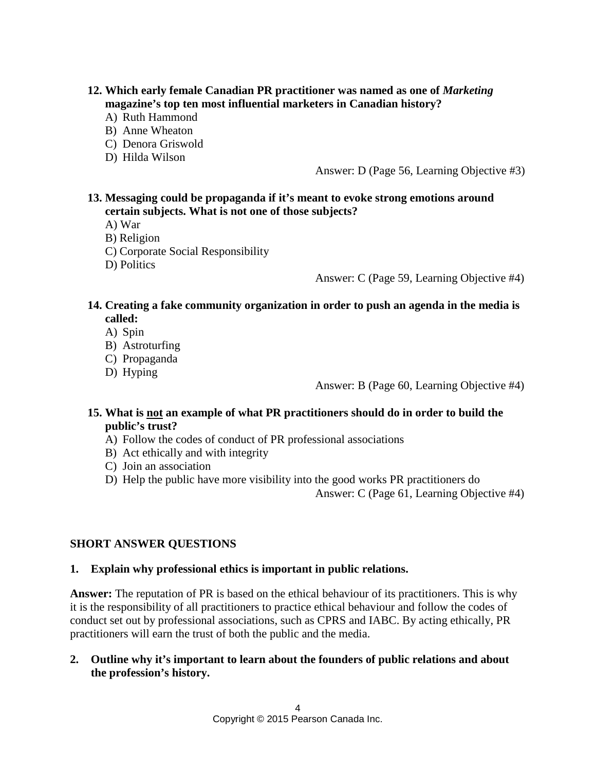#### **12. Which early female Canadian PR practitioner was named as one of** *Marketing* **magazine's top ten most influential marketers in Canadian history?**

- A) Ruth Hammond
- B) Anne Wheaton
- C) Denora Griswold
- D) Hilda Wilson

Answer: D (Page 56, Learning Objective #3)

### **13. Messaging could be propaganda if it's meant to evoke strong emotions around certain subjects. What is not one of those subjects?**

- A) War
- B) Religion
- C) Corporate Social Responsibility

D) Politics

Answer: C (Page 59, Learning Objective #4)

- **14. Creating a fake community organization in order to push an agenda in the media is called:**
	- A) Spin
	- B) Astroturfing
	- C) Propaganda
	- D) Hyping

Answer: B (Page 60, Learning Objective #4)

#### **15. What is not an example of what PR practitioners should do in order to build the public's trust?**

- A) Follow the codes of conduct of PR professional associations
- B) Act ethically and with integrity
- C) Join an association
- D) Help the public have more visibility into the good works PR practitioners do

Answer: C (Page 61, Learning Objective #4)

### **SHORT ANSWER QUESTIONS**

#### **1. Explain why professional ethics is important in public relations.**

**Answer:** The reputation of PR is based on the ethical behaviour of its practitioners. This is why it is the responsibility of all practitioners to practice ethical behaviour and follow the codes of conduct set out by professional associations, such as CPRS and IABC. By acting ethically, PR practitioners will earn the trust of both the public and the media.

#### **2. Outline why it's important to learn about the founders of public relations and about the profession's history.**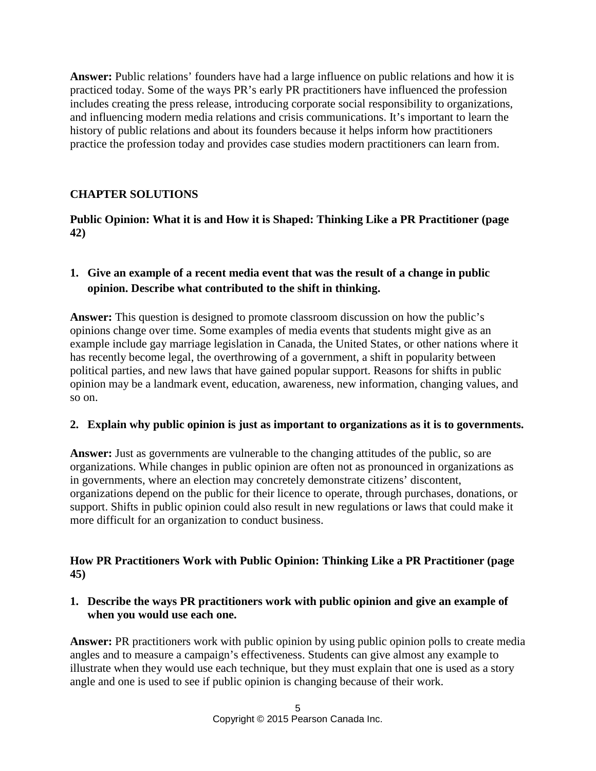**Answer:** Public relations' founders have had a large influence on public relations and how it is practiced today. Some of the ways PR's early PR practitioners have influenced the profession includes creating the press release, introducing corporate social responsibility to organizations, and influencing modern media relations and crisis communications. It's important to learn the history of public relations and about its founders because it helps inform how practitioners practice the profession today and provides case studies modern practitioners can learn from.

# **CHAPTER SOLUTIONS**

## **Public Opinion: What it is and How it is Shaped: Thinking Like a PR Practitioner (page 42)**

# **1. Give an example of a recent media event that was the result of a change in public opinion. Describe what contributed to the shift in thinking.**

**Answer:** This question is designed to promote classroom discussion on how the public's opinions change over time. Some examples of media events that students might give as an example include gay marriage legislation in Canada, the United States, or other nations where it has recently become legal, the overthrowing of a government, a shift in popularity between political parties, and new laws that have gained popular support. Reasons for shifts in public opinion may be a landmark event, education, awareness, new information, changing values, and so on.

### **2. Explain why public opinion is just as important to organizations as it is to governments.**

**Answer:** Just as governments are vulnerable to the changing attitudes of the public, so are organizations. While changes in public opinion are often not as pronounced in organizations as in governments, where an election may concretely demonstrate citizens' discontent, organizations depend on the public for their licence to operate, through purchases, donations, or support. Shifts in public opinion could also result in new regulations or laws that could make it more difficult for an organization to conduct business.

### **How PR Practitioners Work with Public Opinion: Thinking Like a PR Practitioner (page 45)**

#### **1. Describe the ways PR practitioners work with public opinion and give an example of when you would use each one.**

**Answer:** PR practitioners work with public opinion by using public opinion polls to create media angles and to measure a campaign's effectiveness. Students can give almost any example to illustrate when they would use each technique, but they must explain that one is used as a story angle and one is used to see if public opinion is changing because of their work.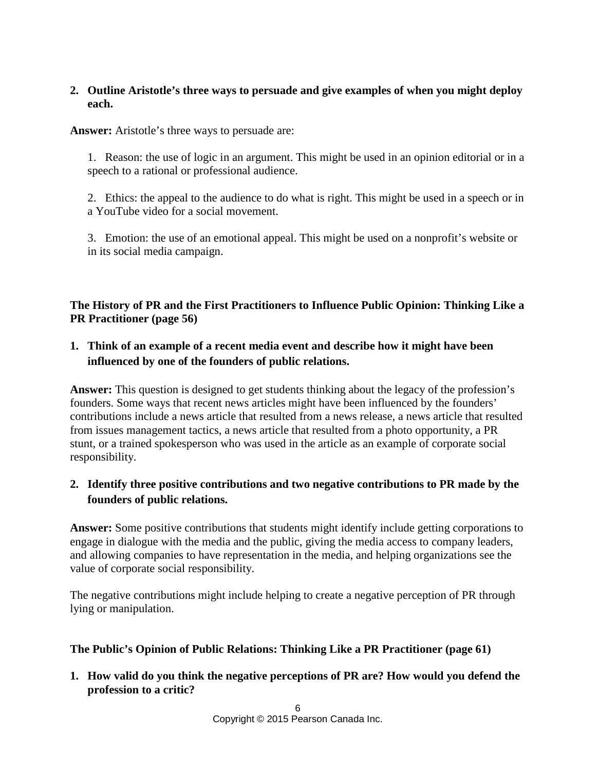## **2. Outline Aristotle's three ways to persuade and give examples of when you might deploy each.**

**Answer:** Aristotle's three ways to persuade are:

1. Reason: the use of logic in an argument. This might be used in an opinion editorial or in a speech to a rational or professional audience.

2. Ethics: the appeal to the audience to do what is right. This might be used in a speech or in a YouTube video for a social movement.

3. Emotion: the use of an emotional appeal. This might be used on a nonprofit's website or in its social media campaign.

# **The History of PR and the First Practitioners to Influence Public Opinion: Thinking Like a PR Practitioner (page 56)**

# **1. Think of an example of a recent media event and describe how it might have been influenced by one of the founders of public relations.**

**Answer:** This question is designed to get students thinking about the legacy of the profession's founders. Some ways that recent news articles might have been influenced by the founders' contributions include a news article that resulted from a news release, a news article that resulted from issues management tactics, a news article that resulted from a photo opportunity, a PR stunt, or a trained spokesperson who was used in the article as an example of corporate social responsibility.

# **2. Identify three positive contributions and two negative contributions to PR made by the founders of public relations.**

**Answer:** Some positive contributions that students might identify include getting corporations to engage in dialogue with the media and the public, giving the media access to company leaders, and allowing companies to have representation in the media, and helping organizations see the value of corporate social responsibility.

The negative contributions might include helping to create a negative perception of PR through lying or manipulation.

### **The Public's Opinion of Public Relations: Thinking Like a PR Practitioner (page 61)**

**1. How valid do you think the negative perceptions of PR are? How would you defend the profession to a critic?**